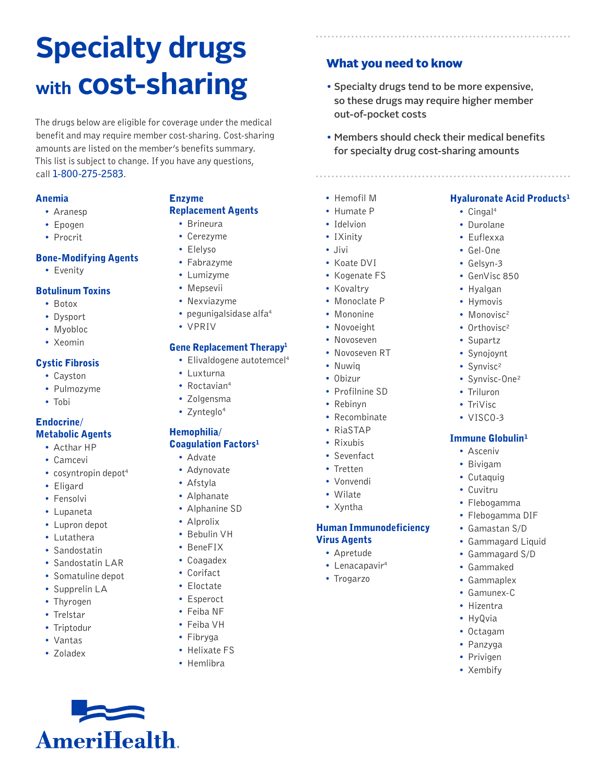# **Specialty drugs with cost-sharing**

The drugs below are eligible for coverage under the medical benefit and may require member cost-sharing. Cost-sharing amounts are listed on the member's benefits summary. This list is subject to change. If you have any questions, call **1-800-275-2583**.

#### Anemia

- Aranesp
- Epogen
- Procrit

#### Bone-Modifying Agents

• Evenity

#### Botulinum Toxins

- Botox
- Dysport
- Myobloc
- Xeomin

#### Cystic Fibrosis

- Cayston
- Pulmozyme
- Tobi

#### Endocrine/ Metabolic Agents

- Acthar HP
- Camcevi
- cosyntropin depot<sup>4</sup>
- Eligard
- Fensolvi
- Lupaneta
- Lupron depot
- Lutathera
- Sandostatin
- Sandostatin LAR
- Somatuline depot

**AmeriHealth.** 

- Supprelin LA
- Thyrogen
- Trelstar
- Triptodur
- Vantas
- Zoladex

# Enzyme

# Replacement Agents

- Brineura
- Cerezyme • Elelyso
- 
- Fabrazyme
- Lumizyme
- Mepsevii
- Nexviazyme
- pegunigalsidase alfa $4$
- VPRIV

#### Gene Replacement Therapy<sup>1</sup>

- Elivaldogene autotemcel<sup>4</sup>
- Luxturna
- Roctavian<sup>4</sup>
- Zolgensma
- Zynteglo<sup>4</sup>

#### Hemophilia/ Coagulation Factors<sup>1</sup>

- Advate
- Adynovate
- Afstyla
- Alphanate
- Alphanine SD
- Alprolix
- Bebulin VH
- BeneFIX
- Coagadex
- Corifact
- Eloctate
- Esperoct
- 
- Feiba NF
- Feiba VH
- Fibryga
- Helixate FS
- Hemlibra

# What you need to know

- Specialty drugs tend to be more expensive, so these drugs may require higher member out-of-pocket costs
- Members should check their medical benefits for specialty drug cost-sharing amounts

Hyaluronate Acid Products<sup>1</sup>

• Cingal<sup>4</sup> • Durolane • Euflexxa • Gel-One • Gelsyn-3 • GenVisc 850 • Hyalgan • Hymovis • Monovisc<sup>2</sup> • Orthovisc<sup>2</sup> • Supartz • Synojoynt • Synvisc<sup>2</sup> • Synvisc-One² • Triluron • TriVisc • VISCO-3

**Immune Globulin<sup>1</sup>** • Asceniv • Bivigam • Cutaquig • Cuvitru • Flebogamma • Flebogamma DIF • Gamastan S/D • Gammagard Liquid • Gammagard S/D • Gammaked • Gammaplex • Gamunex-C • Hizentra • HyQvia • Octagam • Panzyga • Privigen • Xembify

- 
- Hemofil M
- Humate P
- Idelvion
- IXinity
- Jivi
- Koate DVI
- Kogenate FS
- Kovaltry
- Monoclate P
- Mononine
- Novoeight
- Novoseven
- Novoseven RT
- Nuwiq
- Obizur
- Profilnine SD
- Rebinyn
- Recombinate
- RiaSTAP
- Rixubis
- Sevenfact
- Tretten
- Vonvendi
- Wilate
- Xyntha

Virus Agents • Apretude • Lenacapavir<sup>4</sup> • Trogarzo

Human Immunodeficiency